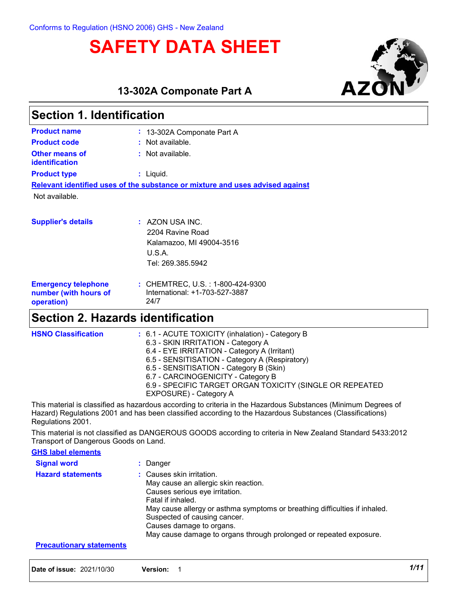# **SAFETY DATA SHEET**



**13-302A Componate Part A**

| <b>Section 1. Identification</b>                                              |                                        |  |  |
|-------------------------------------------------------------------------------|----------------------------------------|--|--|
| <b>Product name</b>                                                           | : 13-302A Componate Part A             |  |  |
| <b>Product code</b>                                                           | : Not available.                       |  |  |
| Other means of<br><b>identification</b>                                       | : Not available.                       |  |  |
| <b>Product type</b>                                                           | $:$ Liquid.                            |  |  |
| Relevant identified uses of the substance or mixture and uses advised against |                                        |  |  |
| Not available.                                                                |                                        |  |  |
|                                                                               |                                        |  |  |
| <b>Supplier's details</b>                                                     | $\therefore$ AZON USA INC.             |  |  |
|                                                                               | 2204 Ravine Road                       |  |  |
|                                                                               | Kalamazoo, MI 49004-3516               |  |  |
|                                                                               | U.S.A.                                 |  |  |
|                                                                               | Tel: 269.385.5942                      |  |  |
| <b>Emergency telephone</b>                                                    | : CHEMTREC, U.S. : 1-800-424-9300      |  |  |
| number (with hours of<br>operation)                                           | International: +1-703-527-3887<br>24/7 |  |  |

## **Section 2. Hazards identification**

| <b>HSNO Classification</b> | : 6.1 - ACUTE TOXICITY (inhalation) - Category B<br>6.3 - SKIN IRRITATION - Category A |
|----------------------------|----------------------------------------------------------------------------------------|
|                            | 6.4 - EYE IRRITATION - Category A (Irritant)                                           |
|                            | 6.5 - SENSITISATION - Category A (Respiratory)                                         |
|                            | 6.5 - SENSITISATION - Category B (Skin)                                                |
|                            | 6.7 - CARCINOGENICITY - Category B                                                     |
|                            | 6.9 - SPECIFIC TARGET ORGAN TOXICITY (SINGLE OR REPEATED                               |
|                            | EXPOSURE) - Category A                                                                 |
|                            |                                                                                        |

This material is classified as hazardous according to criteria in the Hazardous Substances (Minimum Degrees of Hazard) Regulations 2001 and has been classified according to the Hazardous Substances (Classifications) Regulations 2001.

This material is not classified as DANGEROUS GOODS according to criteria in New Zealand Standard 5433:2012 Transport of Dangerous Goods on Land.

### **GHS label elements**

| <b>Signal word</b>       | : Danger                                                                                                                                                                                                                                                                                                                                 |
|--------------------------|------------------------------------------------------------------------------------------------------------------------------------------------------------------------------------------------------------------------------------------------------------------------------------------------------------------------------------------|
| <b>Hazard statements</b> | : Causes skin irritation.<br>May cause an allergic skin reaction.<br>Causes serious eye irritation.<br>Fatal if inhaled.<br>May cause allergy or asthma symptoms or breathing difficulties if inhaled.<br>Suspected of causing cancer.<br>Causes damage to organs.<br>May cause damage to organs through prolonged or repeated exposure. |
|                          |                                                                                                                                                                                                                                                                                                                                          |

**Precautionary statements**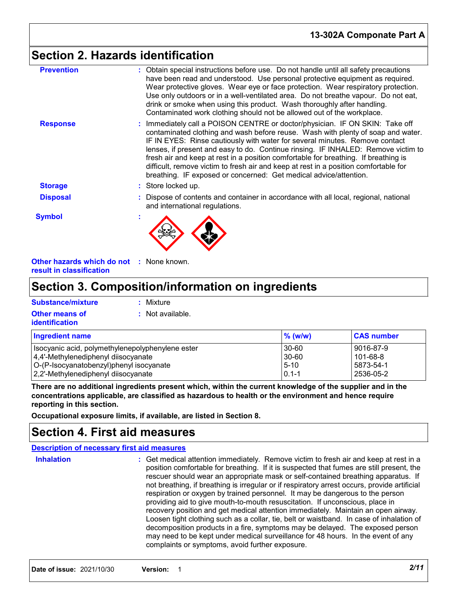## **Section 2. Hazards identification**

| : Obtain special instructions before use. Do not handle until all safety precautions<br>have been read and understood. Use personal protective equipment as required.<br>Wear protective gloves. Wear eye or face protection. Wear respiratory protection.<br>Use only outdoors or in a well-ventilated area. Do not breathe vapour. Do not eat,<br>drink or smoke when using this product. Wash thoroughly after handling.<br>Contaminated work clothing should not be allowed out of the workplace.<br>: Immediately call a POISON CENTRE or doctor/physician. IF ON SKIN: Take off<br>contaminated clothing and wash before reuse. Wash with plenty of soap and water.<br>IF IN EYES: Rinse cautiously with water for several minutes. Remove contact |
|----------------------------------------------------------------------------------------------------------------------------------------------------------------------------------------------------------------------------------------------------------------------------------------------------------------------------------------------------------------------------------------------------------------------------------------------------------------------------------------------------------------------------------------------------------------------------------------------------------------------------------------------------------------------------------------------------------------------------------------------------------|
|                                                                                                                                                                                                                                                                                                                                                                                                                                                                                                                                                                                                                                                                                                                                                          |
| lenses, if present and easy to do. Continue rinsing. IF INHALED: Remove victim to<br>fresh air and keep at rest in a position comfortable for breathing. If breathing is<br>difficult, remove victim to fresh air and keep at rest in a position comfortable for<br>breathing. IF exposed or concerned: Get medical advice/attention.                                                                                                                                                                                                                                                                                                                                                                                                                    |
| : Store locked up.                                                                                                                                                                                                                                                                                                                                                                                                                                                                                                                                                                                                                                                                                                                                       |
| : Dispose of contents and container in accordance with all local, regional, national<br>and international regulations.                                                                                                                                                                                                                                                                                                                                                                                                                                                                                                                                                                                                                                   |
|                                                                                                                                                                                                                                                                                                                                                                                                                                                                                                                                                                                                                                                                                                                                                          |
|                                                                                                                                                                                                                                                                                                                                                                                                                                                                                                                                                                                                                                                                                                                                                          |

**Other hazards which do not :** None known. **result in classification**

## **Section 3. Composition/information on ingredients**

| Substance/mixture     | : Mixture        |
|-----------------------|------------------|
| <b>Other means of</b> | : Not available. |
| <b>identification</b> |                  |

| <b>Ingredient name</b>                           | $%$ (w/w) | <b>CAS number</b> |
|--------------------------------------------------|-----------|-------------------|
| Isocyanic acid, polymethylenepolyphenylene ester | $30-60$   | 9016-87-9         |
| 4,4'-Methylenediphenyl diisocyanate              | 30-60     | 101-68-8          |
| O-(P-Isocyanatobenzyl)phenyl isocyanate          | $5 - 10$  | 5873-54-1         |
| 2,2'-Methylenediphenyl diisocyanate              | $0.1 - 1$ | 2536-05-2         |

**There are no additional ingredients present which, within the current knowledge of the supplier and in the concentrations applicable, are classified as hazardous to health or the environment and hence require reporting in this section.**

**Occupational exposure limits, if available, are listed in Section 8.**

## **Section 4. First aid measures**

### **Description of necessary first aid measures**

| <b>Inhalation</b> | : Get medical attention immediately. Remove victim to fresh air and keep at rest in a<br>position comfortable for breathing. If it is suspected that fumes are still present, the<br>rescuer should wear an appropriate mask or self-contained breathing apparatus. If<br>not breathing, if breathing is irregular or if respiratory arrest occurs, provide artificial<br>respiration or oxygen by trained personnel. It may be dangerous to the person<br>providing aid to give mouth-to-mouth resuscitation. If unconscious, place in<br>recovery position and get medical attention immediately. Maintain an open airway.<br>Loosen tight clothing such as a collar, tie, belt or waistband. In case of inhalation of<br>decomposition products in a fire, symptoms may be delayed. The exposed person<br>may need to be kept under medical surveillance for 48 hours. In the event of any<br>complaints or symptoms, avoid further exposure. |
|-------------------|--------------------------------------------------------------------------------------------------------------------------------------------------------------------------------------------------------------------------------------------------------------------------------------------------------------------------------------------------------------------------------------------------------------------------------------------------------------------------------------------------------------------------------------------------------------------------------------------------------------------------------------------------------------------------------------------------------------------------------------------------------------------------------------------------------------------------------------------------------------------------------------------------------------------------------------------------|
|-------------------|--------------------------------------------------------------------------------------------------------------------------------------------------------------------------------------------------------------------------------------------------------------------------------------------------------------------------------------------------------------------------------------------------------------------------------------------------------------------------------------------------------------------------------------------------------------------------------------------------------------------------------------------------------------------------------------------------------------------------------------------------------------------------------------------------------------------------------------------------------------------------------------------------------------------------------------------------|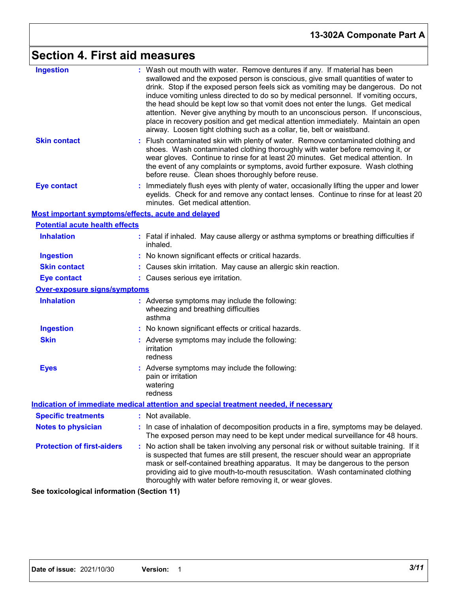# **Section 4. First aid measures**

| <b>Ingestion</b>                                   | : Wash out mouth with water. Remove dentures if any. If material has been<br>swallowed and the exposed person is conscious, give small quantities of water to<br>drink. Stop if the exposed person feels sick as vomiting may be dangerous. Do not<br>induce vomiting unless directed to do so by medical personnel. If vomiting occurs,<br>the head should be kept low so that vomit does not enter the lungs. Get medical<br>attention. Never give anything by mouth to an unconscious person. If unconscious,<br>place in recovery position and get medical attention immediately. Maintain an open<br>airway. Loosen tight clothing such as a collar, tie, belt or waistband. |
|----------------------------------------------------|-----------------------------------------------------------------------------------------------------------------------------------------------------------------------------------------------------------------------------------------------------------------------------------------------------------------------------------------------------------------------------------------------------------------------------------------------------------------------------------------------------------------------------------------------------------------------------------------------------------------------------------------------------------------------------------|
| <b>Skin contact</b>                                | : Flush contaminated skin with plenty of water. Remove contaminated clothing and<br>shoes. Wash contaminated clothing thoroughly with water before removing it, or<br>wear gloves. Continue to rinse for at least 20 minutes. Get medical attention. In<br>the event of any complaints or symptoms, avoid further exposure. Wash clothing<br>before reuse. Clean shoes thoroughly before reuse.                                                                                                                                                                                                                                                                                   |
| <b>Eye contact</b>                                 | Immediately flush eyes with plenty of water, occasionally lifting the upper and lower<br>eyelids. Check for and remove any contact lenses. Continue to rinse for at least 20<br>minutes. Get medical attention.                                                                                                                                                                                                                                                                                                                                                                                                                                                                   |
| Most important symptoms/effects, acute and delayed |                                                                                                                                                                                                                                                                                                                                                                                                                                                                                                                                                                                                                                                                                   |
| <b>Potential acute health effects</b>              |                                                                                                                                                                                                                                                                                                                                                                                                                                                                                                                                                                                                                                                                                   |
| <b>Inhalation</b>                                  | : Fatal if inhaled. May cause allergy or asthma symptoms or breathing difficulties if<br>inhaled.                                                                                                                                                                                                                                                                                                                                                                                                                                                                                                                                                                                 |
| <b>Ingestion</b>                                   | : No known significant effects or critical hazards.                                                                                                                                                                                                                                                                                                                                                                                                                                                                                                                                                                                                                               |
| <b>Skin contact</b>                                | : Causes skin irritation. May cause an allergic skin reaction.                                                                                                                                                                                                                                                                                                                                                                                                                                                                                                                                                                                                                    |
| <b>Eye contact</b>                                 | : Causes serious eye irritation.                                                                                                                                                                                                                                                                                                                                                                                                                                                                                                                                                                                                                                                  |
| Over-exposure signs/symptoms                       |                                                                                                                                                                                                                                                                                                                                                                                                                                                                                                                                                                                                                                                                                   |
| <b>Inhalation</b>                                  | : Adverse symptoms may include the following:<br>wheezing and breathing difficulties<br>asthma                                                                                                                                                                                                                                                                                                                                                                                                                                                                                                                                                                                    |
| <b>Ingestion</b>                                   | : No known significant effects or critical hazards.                                                                                                                                                                                                                                                                                                                                                                                                                                                                                                                                                                                                                               |
| <b>Skin</b>                                        | : Adverse symptoms may include the following:<br>irritation<br>redness                                                                                                                                                                                                                                                                                                                                                                                                                                                                                                                                                                                                            |
| <b>Eyes</b>                                        | : Adverse symptoms may include the following:<br>pain or irritation<br>watering<br>redness                                                                                                                                                                                                                                                                                                                                                                                                                                                                                                                                                                                        |
|                                                    | <u>Indication of immediate medical attention and special treatment needed, if necessary</u>                                                                                                                                                                                                                                                                                                                                                                                                                                                                                                                                                                                       |
| <b>Specific treatments</b>                         | : Not available.                                                                                                                                                                                                                                                                                                                                                                                                                                                                                                                                                                                                                                                                  |
| <b>Notes to physician</b>                          | : In case of inhalation of decomposition products in a fire, symptoms may be delayed.<br>The exposed person may need to be kept under medical surveillance for 48 hours.                                                                                                                                                                                                                                                                                                                                                                                                                                                                                                          |
| <b>Protection of first-aiders</b>                  | : No action shall be taken involving any personal risk or without suitable training. If it<br>is suspected that fumes are still present, the rescuer should wear an appropriate<br>mask or self-contained breathing apparatus. It may be dangerous to the person<br>providing aid to give mouth-to-mouth resuscitation. Wash contaminated clothing<br>thoroughly with water before removing it, or wear gloves.                                                                                                                                                                                                                                                                   |

**See toxicological information (Section 11)**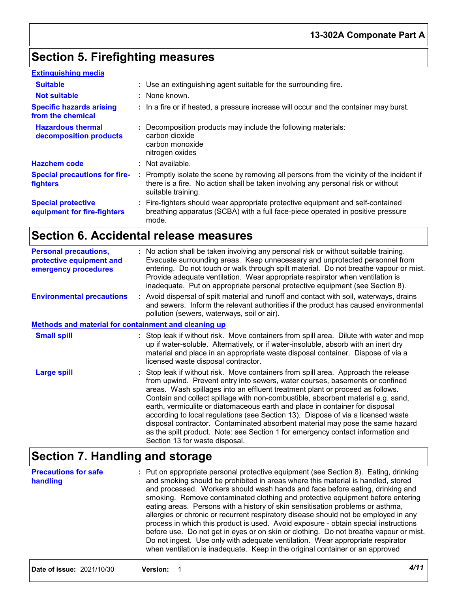# **Section 5. Firefighting measures**

| <b>Extinguishing media</b>                               |                                                                                                                                                                                                     |
|----------------------------------------------------------|-----------------------------------------------------------------------------------------------------------------------------------------------------------------------------------------------------|
| <b>Suitable</b>                                          | : Use an extinguishing agent suitable for the surrounding fire.                                                                                                                                     |
| <b>Not suitable</b>                                      | : None known.                                                                                                                                                                                       |
| <b>Specific hazards arising</b><br>from the chemical     | : In a fire or if heated, a pressure increase will occur and the container may burst.                                                                                                               |
| <b>Hazardous thermal</b><br>decomposition products       | : Decomposition products may include the following materials:<br>carbon dioxide<br>carbon monoxide<br>nitrogen oxides                                                                               |
| <b>Hazchem code</b>                                      | : Not available.                                                                                                                                                                                    |
| <b>Special precautions for fire-</b><br><b>fighters</b>  | : Promptly isolate the scene by removing all persons from the vicinity of the incident if<br>there is a fire. No action shall be taken involving any personal risk or without<br>suitable training. |
| <b>Special protective</b><br>equipment for fire-fighters | : Fire-fighters should wear appropriate protective equipment and self-contained<br>breathing apparatus (SCBA) with a full face-piece operated in positive pressure<br>mode.                         |

## **Section 6. Accidental release measures**

| <b>Personal precautions,</b><br>protective equipment and<br>emergency procedures | : No action shall be taken involving any personal risk or without suitable training.<br>Evacuate surrounding areas. Keep unnecessary and unprotected personnel from<br>entering. Do not touch or walk through spilt material. Do not breathe vapour or mist.<br>Provide adequate ventilation. Wear appropriate respirator when ventilation is<br>inadequate. Put on appropriate personal protective equipment (see Section 8).                                                                                                                                                                                                                                                                                    |  |
|----------------------------------------------------------------------------------|-------------------------------------------------------------------------------------------------------------------------------------------------------------------------------------------------------------------------------------------------------------------------------------------------------------------------------------------------------------------------------------------------------------------------------------------------------------------------------------------------------------------------------------------------------------------------------------------------------------------------------------------------------------------------------------------------------------------|--|
| <b>Environmental precautions</b>                                                 | : Avoid dispersal of spilt material and runoff and contact with soil, waterways, drains<br>and sewers. Inform the relevant authorities if the product has caused environmental<br>pollution (sewers, waterways, soil or air).                                                                                                                                                                                                                                                                                                                                                                                                                                                                                     |  |
| <b>Methods and material for containment and cleaning up</b>                      |                                                                                                                                                                                                                                                                                                                                                                                                                                                                                                                                                                                                                                                                                                                   |  |
| <b>Small spill</b>                                                               | : Stop leak if without risk. Move containers from spill area. Dilute with water and mop<br>up if water-soluble. Alternatively, or if water-insoluble, absorb with an inert dry<br>material and place in an appropriate waste disposal container. Dispose of via a<br>licensed waste disposal contractor.                                                                                                                                                                                                                                                                                                                                                                                                          |  |
| <b>Large spill</b>                                                               | : Stop leak if without risk. Move containers from spill area. Approach the release<br>from upwind. Prevent entry into sewers, water courses, basements or confined<br>areas. Wash spillages into an effluent treatment plant or proceed as follows.<br>Contain and collect spillage with non-combustible, absorbent material e.g. sand,<br>earth, vermiculite or diatomaceous earth and place in container for disposal<br>according to local regulations (see Section 13). Dispose of via a licensed waste<br>disposal contractor. Contaminated absorbent material may pose the same hazard<br>as the spilt product. Note: see Section 1 for emergency contact information and<br>Section 13 for waste disposal. |  |

# **Section 7. Handling and storage**

| <b>Precautions for safe</b><br>handling | : Put on appropriate personal protective equipment (see Section 8). Eating, drinking<br>and smoking should be prohibited in areas where this material is handled, stored<br>and processed. Workers should wash hands and face before eating, drinking and<br>smoking. Remove contaminated clothing and protective equipment before entering<br>eating areas. Persons with a history of skin sensitisation problems or asthma,<br>allergies or chronic or recurrent respiratory disease should not be employed in any<br>process in which this product is used. Avoid exposure - obtain special instructions<br>before use. Do not get in eyes or on skin or clothing. Do not breathe vapour or mist.<br>Do not ingest. Use only with adequate ventilation. Wear appropriate respirator<br>when ventilation is inadequate. Keep in the original container or an approved |
|-----------------------------------------|-------------------------------------------------------------------------------------------------------------------------------------------------------------------------------------------------------------------------------------------------------------------------------------------------------------------------------------------------------------------------------------------------------------------------------------------------------------------------------------------------------------------------------------------------------------------------------------------------------------------------------------------------------------------------------------------------------------------------------------------------------------------------------------------------------------------------------------------------------------------------|
|-----------------------------------------|-------------------------------------------------------------------------------------------------------------------------------------------------------------------------------------------------------------------------------------------------------------------------------------------------------------------------------------------------------------------------------------------------------------------------------------------------------------------------------------------------------------------------------------------------------------------------------------------------------------------------------------------------------------------------------------------------------------------------------------------------------------------------------------------------------------------------------------------------------------------------|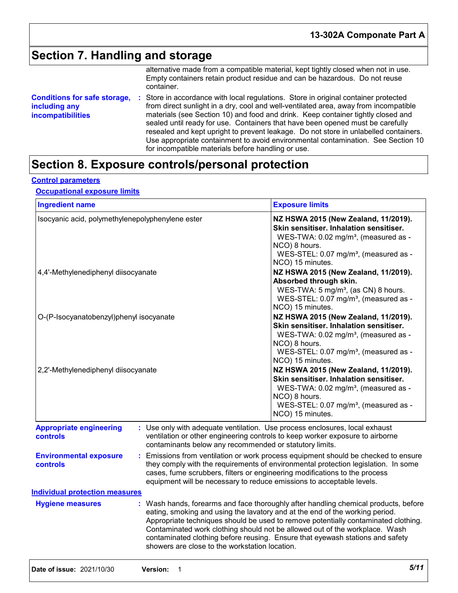## **Section 7. Handling and storage**

alternative made from a compatible material, kept tightly closed when not in use. Empty containers retain product residue and can be hazardous. Do not reuse container.

**Conditions for safe storage,** : Store in accordance with local regulations. Store in original container protected **including any incompatibilities** from direct sunlight in a dry, cool and well-ventilated area, away from incompatible materials (see Section 10) and food and drink. Keep container tightly closed and sealed until ready for use. Containers that have been opened must be carefully resealed and kept upright to prevent leakage. Do not store in unlabelled containers. Use appropriate containment to avoid environmental contamination. See Section 10 for incompatible materials before handling or use.

## **Section 8. Exposure controls/personal protection**

### **Control parameters**

### **Occupational exposure limits**

| <b>Ingredient name</b>                            |                                                                                                                                                                                                                                                                                                                                                                                                                                                                             | <b>Exposure limits</b>                                                                                                                                                                                                                                                                                                        |  |
|---------------------------------------------------|-----------------------------------------------------------------------------------------------------------------------------------------------------------------------------------------------------------------------------------------------------------------------------------------------------------------------------------------------------------------------------------------------------------------------------------------------------------------------------|-------------------------------------------------------------------------------------------------------------------------------------------------------------------------------------------------------------------------------------------------------------------------------------------------------------------------------|--|
| Isocyanic acid, polymethylenepolyphenylene ester  |                                                                                                                                                                                                                                                                                                                                                                                                                                                                             | NZ HSWA 2015 (New Zealand, 11/2019).<br>Skin sensitiser. Inhalation sensitiser.<br>WES-TWA: 0.02 mg/m <sup>3</sup> , (measured as -<br>NCO) 8 hours.<br>WES-STEL: 0.07 mg/m <sup>3</sup> , (measured as -<br>NCO) 15 minutes.                                                                                                 |  |
| 4,4'-Methylenediphenyl diisocyanate               |                                                                                                                                                                                                                                                                                                                                                                                                                                                                             | NZ HSWA 2015 (New Zealand, 11/2019).<br>Absorbed through skin.<br>WES-TWA: 5 mg/m <sup>3</sup> , (as CN) 8 hours.<br>WES-STEL: 0.07 mg/m <sup>3</sup> , (measured as -                                                                                                                                                        |  |
| O-(P-Isocyanatobenzyl)phenyl isocyanate           |                                                                                                                                                                                                                                                                                                                                                                                                                                                                             | NCO) 15 minutes.<br>NZ HSWA 2015 (New Zealand, 11/2019).<br>Skin sensitiser. Inhalation sensitiser.<br>WES-TWA: 0.02 mg/m <sup>3</sup> , (measured as -<br>NCO) 8 hours.<br>WES-STEL: 0.07 mg/m <sup>3</sup> , (measured as -<br>NCO) 15 minutes.                                                                             |  |
| 2,2'-Methylenediphenyl diisocyanate               |                                                                                                                                                                                                                                                                                                                                                                                                                                                                             | NZ HSWA 2015 (New Zealand, 11/2019).<br>Skin sensitiser. Inhalation sensitiser.<br>WES-TWA: 0.02 mg/m <sup>3</sup> , (measured as -<br>NCO) 8 hours.<br>WES-STEL: 0.07 mg/m <sup>3</sup> , (measured as -<br>NCO) 15 minutes.                                                                                                 |  |
| <b>Appropriate engineering</b><br><b>controls</b> | contaminants below any recommended or statutory limits.                                                                                                                                                                                                                                                                                                                                                                                                                     | : Use only with adequate ventilation. Use process enclosures, local exhaust<br>ventilation or other engineering controls to keep worker exposure to airborne                                                                                                                                                                  |  |
| <b>Environmental exposure</b><br>controls         |                                                                                                                                                                                                                                                                                                                                                                                                                                                                             | Emissions from ventilation or work process equipment should be checked to ensure<br>they comply with the requirements of environmental protection legislation. In some<br>cases, fume scrubbers, filters or engineering modifications to the process<br>equipment will be necessary to reduce emissions to acceptable levels. |  |
| <b>Individual protection measures</b>             |                                                                                                                                                                                                                                                                                                                                                                                                                                                                             |                                                                                                                                                                                                                                                                                                                               |  |
| <b>Hygiene measures</b>                           | : Wash hands, forearms and face thoroughly after handling chemical products, before<br>eating, smoking and using the lavatory and at the end of the working period.<br>Appropriate techniques should be used to remove potentially contaminated clothing.<br>Contaminated work clothing should not be allowed out of the workplace. Wash<br>contaminated clothing before reusing. Ensure that eyewash stations and safety<br>showers are close to the workstation location. |                                                                                                                                                                                                                                                                                                                               |  |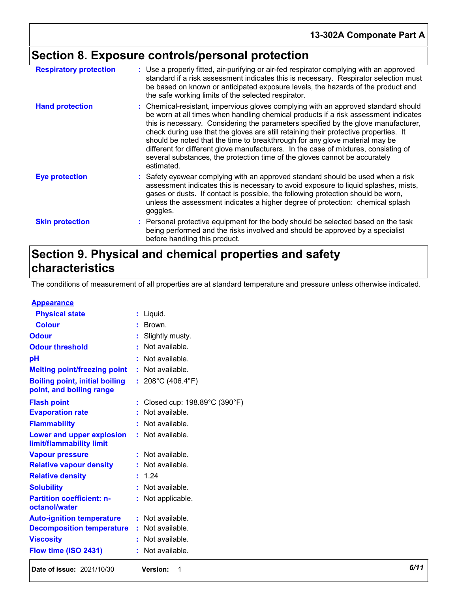# **Section 8. Exposure controls/personal protection**

| <b>Respiratory protection</b> | : Use a properly fitted, air-purifying or air-fed respirator complying with an approved<br>standard if a risk assessment indicates this is necessary. Respirator selection must<br>be based on known or anticipated exposure levels, the hazards of the product and<br>the safe working limits of the selected respirator.                                                                                                                                                                                                                                                                                                |
|-------------------------------|---------------------------------------------------------------------------------------------------------------------------------------------------------------------------------------------------------------------------------------------------------------------------------------------------------------------------------------------------------------------------------------------------------------------------------------------------------------------------------------------------------------------------------------------------------------------------------------------------------------------------|
| <b>Hand protection</b>        | : Chemical-resistant, impervious gloves complying with an approved standard should<br>be worn at all times when handling chemical products if a risk assessment indicates<br>this is necessary. Considering the parameters specified by the glove manufacturer,<br>check during use that the gloves are still retaining their protective properties. It<br>should be noted that the time to breakthrough for any glove material may be<br>different for different glove manufacturers. In the case of mixtures, consisting of<br>several substances, the protection time of the gloves cannot be accurately<br>estimated. |
| <b>Eye protection</b>         | : Safety eyewear complying with an approved standard should be used when a risk<br>assessment indicates this is necessary to avoid exposure to liquid splashes, mists,<br>gases or dusts. If contact is possible, the following protection should be worn,<br>unless the assessment indicates a higher degree of protection: chemical splash<br>goggles.                                                                                                                                                                                                                                                                  |
| <b>Skin protection</b>        | : Personal protective equipment for the body should be selected based on the task<br>being performed and the risks involved and should be approved by a specialist<br>before handling this product.                                                                                                                                                                                                                                                                                                                                                                                                                       |

## **Section 9. Physical and chemical properties and safety characteristics**

The conditions of measurement of all properties are at standard temperature and pressure unless otherwise indicated.

### **Appearance**

| Date of issue: 2021/10/30                                         | Version:<br>-1                         | 6/11 |
|-------------------------------------------------------------------|----------------------------------------|------|
| Flow time (ISO 2431)                                              | : Not available.                       |      |
| <b>Viscosity</b>                                                  | : Not available.                       |      |
| <b>Decomposition temperature</b>                                  | : Not available.                       |      |
| <b>Auto-ignition temperature</b>                                  | : Not available.                       |      |
| <b>Partition coefficient: n-</b><br>octanol/water                 | : Not applicable.                      |      |
| <b>Solubility</b>                                                 | : Not available.                       |      |
| <b>Relative density</b>                                           | : 1.24                                 |      |
| <b>Relative vapour density</b>                                    | : Not available.                       |      |
| <b>Vapour pressure</b>                                            | $:$ Not available.                     |      |
| Lower and upper explosion<br>limit/flammability limit             | : Not available.                       |      |
| <b>Flammability</b>                                               | : Not available.                       |      |
| <b>Evaporation rate</b>                                           | : Not available.                       |      |
| <b>Flash point</b>                                                | : Closed cup: 198.89°C (390°F)         |      |
| <b>Boiling point, initial boiling</b><br>point, and boiling range | : $208^{\circ}$ C (406.4 $^{\circ}$ F) |      |
| <b>Melting point/freezing point</b>                               | : Not available.                       |      |
| pH                                                                | : Not available.                       |      |
| <b>Odour threshold</b>                                            | : Not available.                       |      |
| <b>Odour</b>                                                      | : Slightly musty.                      |      |
| <b>Colour</b>                                                     | : Brown.                               |      |
| <b>Physical state</b>                                             | $:$ Liquid.                            |      |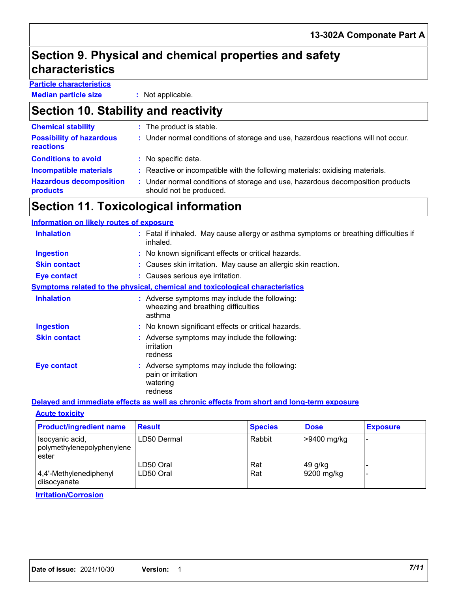## **Section 9. Physical and chemical properties and safety characteristics**

## **Particle characteristics**

**Median particle size :** Not applicable.

## **Section 10. Stability and reactivity**

| <b>Chemical stability</b>                    | : The product is stable.                                                                                  |
|----------------------------------------------|-----------------------------------------------------------------------------------------------------------|
| <b>Possibility of hazardous</b><br>reactions | : Under normal conditions of storage and use, hazardous reactions will not occur.                         |
| <b>Conditions to avoid</b>                   | : No specific data.                                                                                       |
| <b>Incompatible materials</b>                | : Reactive or incompatible with the following materials: oxidising materials.                             |
| <b>Hazardous decomposition</b><br>products   | : Under normal conditions of storage and use, hazardous decomposition products<br>should not be produced. |

## **Section 11. Toxicological information**

### **Information on likely routes of exposure**

| <b>Inhalation</b>   | : Fatal if inhaled. May cause allergy or asthma symptoms or breathing difficulties if<br>inhaled. |
|---------------------|---------------------------------------------------------------------------------------------------|
| <b>Ingestion</b>    | : No known significant effects or critical hazards.                                               |
| <b>Skin contact</b> | : Causes skin irritation. May cause an allergic skin reaction.                                    |
| Eye contact         | : Causes serious eye irritation.                                                                  |
|                     | <b>Symptoms related to the physical, chemical and toxicological characteristics</b>               |
| <b>Inhalation</b>   | : Adverse symptoms may include the following:<br>wheezing and breathing difficulties<br>asthma    |
| <b>Ingestion</b>    | : No known significant effects or critical hazards.                                               |
| <b>Skin contact</b> | : Adverse symptoms may include the following:<br>irritation<br>redness                            |
| <b>Eye contact</b>  | : Adverse symptoms may include the following:<br>pain or irritation<br>watering<br>redness        |

### **Delayed and immediate effects as well as chronic effects from short and long-term exposure**

| <b>Acute toxicity</b> |  |
|-----------------------|--|
|-----------------------|--|

| <b>Product/ingredient name</b>                         | <b>Result</b>          | <b>Species</b> | <b>Dose</b>             | <b>Exposure</b> |
|--------------------------------------------------------|------------------------|----------------|-------------------------|-----------------|
| Isocyanic acid,<br>polymethylenepolyphenylene<br>ester | LD50 Dermal            | Rabbit         | -9400 mg/kg             |                 |
| 4,4'-Methylenediphenyl<br>diisocyanate                 | LD50 Oral<br>LD50 Oral | Rat<br>Rat     | $49$ g/kg<br>9200 mg/kg |                 |

### **Irritation/Corrosion**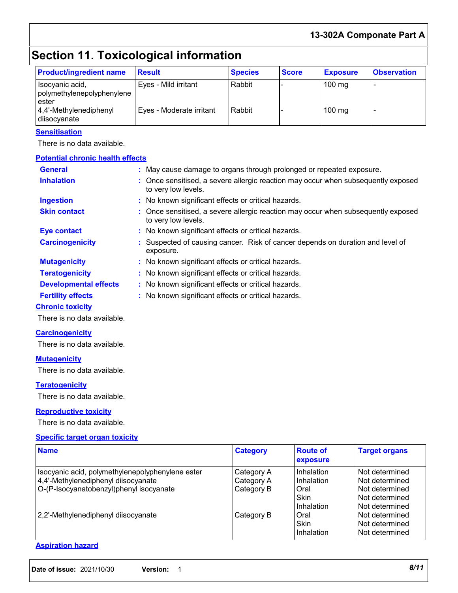### **13-302A Componate Part A**

# **Section 11. Toxicological information**

| <b>Product/ingredient name</b>                         | <b>Result</b>            | <b>Species</b> | <b>Score</b> | <b>Exposure</b>  | <b>Observation</b> |
|--------------------------------------------------------|--------------------------|----------------|--------------|------------------|--------------------|
| Isocyanic acid,<br>polymethylenepolyphenylene<br>ester | Eyes - Mild irritant     | l Rabbit       |              | $100 \text{ mg}$ |                    |
| 4,4'-Methylenediphenyl<br>diisocyanate                 | Eyes - Moderate irritant | Rabbit         |              | $100 \text{ mg}$ |                    |

### **Sensitisation**

There is no data available.

| <b>Potential chronic health effects</b> |                                                                                                          |
|-----------------------------------------|----------------------------------------------------------------------------------------------------------|
| <b>General</b>                          | : May cause damage to organs through prolonged or repeated exposure.                                     |
| <b>Inhalation</b>                       | : Once sensitised, a severe allergic reaction may occur when subsequently exposed<br>to very low levels. |
| <b>Ingestion</b>                        | : No known significant effects or critical hazards.                                                      |
| <b>Skin contact</b>                     | : Once sensitised, a severe allergic reaction may occur when subsequently exposed<br>to very low levels. |
| <b>Eye contact</b>                      | : No known significant effects or critical hazards.                                                      |
| <b>Carcinogenicity</b>                  | : Suspected of causing cancer. Risk of cancer depends on duration and level of<br>exposure.              |
| <b>Mutagenicity</b>                     | : No known significant effects or critical hazards.                                                      |
| <b>Teratogenicity</b>                   | : No known significant effects or critical hazards.                                                      |
| <b>Developmental effects</b>            | : No known significant effects or critical hazards.                                                      |
| <b>Fertility effects</b>                | : No known significant effects or critical hazards.                                                      |
| <b>Chronic toxicity</b>                 |                                                                                                          |

There is no data available.

### **Carcinogenicity**

There is no data available.

### **Mutagenicity**

There is no data available.

### **Teratogenicity**

There is no data available.

### **Reproductive toxicity**

There is no data available.

### **Specific target organ toxicity**

| <b>Name</b>                                                                                                                        | <b>Category</b>                        | <b>Route of</b><br>exposure                                   | <b>Target organs</b>                                                                     |
|------------------------------------------------------------------------------------------------------------------------------------|----------------------------------------|---------------------------------------------------------------|------------------------------------------------------------------------------------------|
| Isocyanic acid, polymethylenepolyphenylene ester<br>4,4'-Methylenediphenyl diisocyanate<br>O-(P-Isocyanatobenzyl)phenyl isocyanate | Category A<br>Category A<br>Category B | Inhalation<br>Inhalation<br>Oral<br><b>Skin</b><br>Inhalation | l Not determined<br>Not determined<br>Not determined<br>Not determined<br>Not determined |
| 2,2'-Methylenediphenyl diisocyanate                                                                                                | Category B                             | Oral<br><b>Skin</b><br>l Inhalation                           | Not determined<br>Not determined<br>Not determined                                       |

### **Aspiration hazard**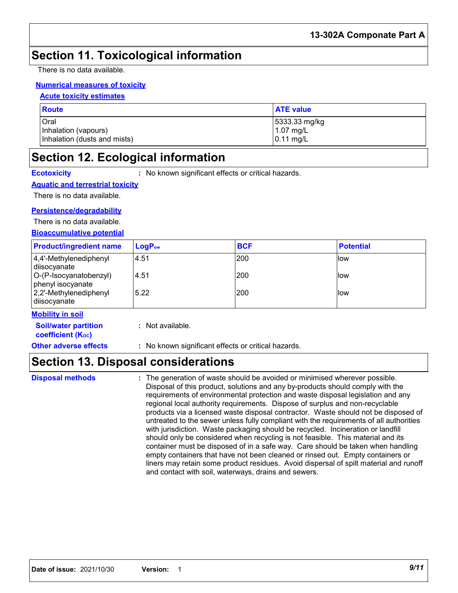## **Section 11. Toxicological information**

There is no data available.

### **Numerical measures of toxicity**

### **Acute toxicity estimates**

| <b>Route</b>                 | <b>ATE value</b>    |
|------------------------------|---------------------|
| Oral                         | 5333.33 mg/kg       |
| Inhalation (vapours)         | $1.07 \text{ mg/L}$ |
| Inhalation (dusts and mists) | $0.11$ mg/L         |

## **Section 12. Ecological information**

**Ecotoxicity :** No known significant effects or critical hazards.

### **Aquatic and terrestrial toxicity**

There is no data available.

### **Persistence/degradability**

There is no data available.

**Bioaccumulative potential**

| <b>Product/ingredient name</b>              | $LogP_{ow}$ | <b>BCF</b> | <b>Potential</b> |
|---------------------------------------------|-------------|------------|------------------|
| 4,4'-Methylenediphenyl<br>diisocyanate      | 4.51        | 200        | <b>llow</b>      |
| O-(P-Isocyanatobenzyl)<br>phenyl isocyanate | 4.51        | 200        | <b>Ilow</b>      |
| $ 2,2'$ -Methylenediphenyl<br>diisocyanate  | 5.22        | 200        | <b>Ilow</b>      |

### **Mobility in soil**

| <b>Soil/water partition</b><br>coefficient (K <sub>oc</sub> ) | : Not available.                                    |
|---------------------------------------------------------------|-----------------------------------------------------|
| <b>Other adverse effects</b>                                  | : No known significant effects or critical hazards. |

## **Section 13. Disposal considerations**

The generation of waste should be avoided or minimised wherever possible. Disposal of this product, solutions and any by-products should comply with the requirements of environmental protection and waste disposal legislation and any regional local authority requirements. Dispose of surplus and non-recyclable products via a licensed waste disposal contractor. Waste should not be disposed of untreated to the sewer unless fully compliant with the requirements of all authorities with jurisdiction. Waste packaging should be recycled. Incineration or landfill should only be considered when recycling is not feasible. This material and its container must be disposed of in a safe way. Care should be taken when handling empty containers that have not been cleaned or rinsed out. Empty containers or liners may retain some product residues. Avoid dispersal of spilt material and runoff and contact with soil, waterways, drains and sewers. **Disposal methods :**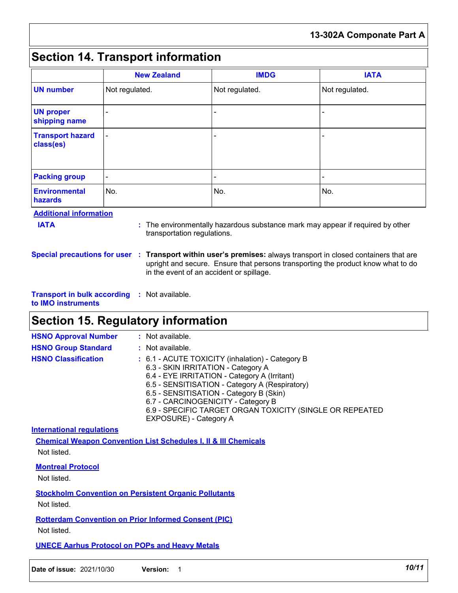## **Section 14. Transport information**

|                                                                                                                                                                                                     | <b>New Zealand</b> | <b>IMDG</b>    | <b>IATA</b>    |  |
|-----------------------------------------------------------------------------------------------------------------------------------------------------------------------------------------------------|--------------------|----------------|----------------|--|
| <b>UN number</b>                                                                                                                                                                                    | Not regulated.     | Not regulated. | Not regulated. |  |
| <b>UN proper</b><br>shipping name                                                                                                                                                                   |                    |                |                |  |
| <b>Transport hazard</b><br>class(es)                                                                                                                                                                |                    |                |                |  |
| <b>Packing group</b>                                                                                                                                                                                |                    |                |                |  |
| <b>Environmental</b><br><b>hazards</b>                                                                                                                                                              | No.                | No.            | No.            |  |
| <b>Additional information</b><br><b>IATA</b><br>: The environmentally hazardous substance mark may appear if required by other<br>transportation regulations.                                       |                    |                |                |  |
| Special precautions for user : Transport within user's premises: always transport in closed containers that are<br>upright and secure. Ensure that persons transporting the product know what to do |                    |                |                |  |

**Transport in bulk according :** Not available. **to IMO instruments**

## **Section 15. Regulatory information**

| <b>HSNO Approval Number</b> | : Not available.                                                                                                                                                                                                                                                                                                                                                |
|-----------------------------|-----------------------------------------------------------------------------------------------------------------------------------------------------------------------------------------------------------------------------------------------------------------------------------------------------------------------------------------------------------------|
| <b>HSNO Group Standard</b>  | : Not available.                                                                                                                                                                                                                                                                                                                                                |
| <b>HSNO Classification</b>  | : 6.1 - ACUTE TOXICITY (inhalation) - Category B<br>6.3 - SKIN IRRITATION - Category A<br>6.4 - EYE IRRITATION - Category A (Irritant)<br>6.5 - SENSITISATION - Category A (Respiratory)<br>6.5 - SENSITISATION - Category B (Skin)<br>6.7 - CARCINOGENICITY - Category B<br>6.9 - SPECIFIC TARGET ORGAN TOXICITY (SINGLE OR REPEATED<br>EXPOSURE) - Category A |

in the event of an accident or spillage.

**International regulations**

**Chemical Weapon Convention List Schedules I, II & III Chemicals** Not listed.

**Montreal Protocol**

Not listed.

**Stockholm Convention on Persistent Organic Pollutants**

Not listed.

**Rotterdam Convention on Prior Informed Consent (PIC)**

Not listed.

**UNECE Aarhus Protocol on POPs and Heavy Metals**